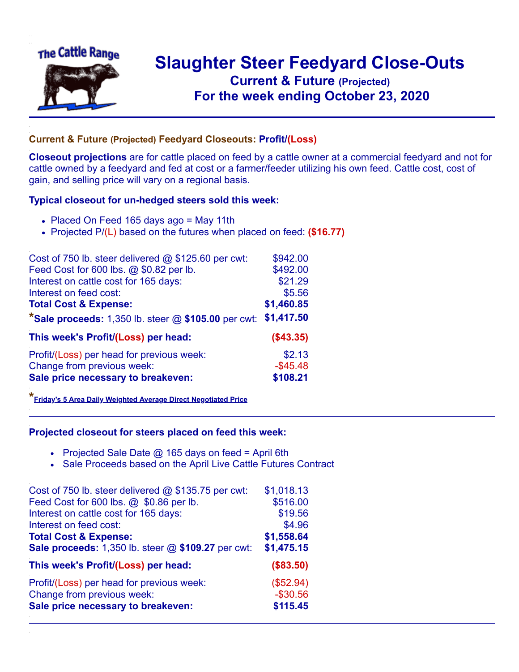

## **Slaughter Steer Feedyard Close-Outs Current & Future (Projected)** .**For the week ending October 23, 2020**

## **Current & Future (Projected) Feedyard Closeouts: Profit/(Loss)**

**Closeout projections** are for cattle placed on feed by a cattle owner at a commercial feedyard and not for cattle owned by a feedyard and fed at cost or a farmer/feeder utilizing his own feed. Cattle cost, cost of gain, and selling price will vary on a regional basis.

## **Typical closeout for un-hedged steers sold this week:**

- Placed On Feed 165 days ago = May 11th
- Projected P/(L) based on the futures when placed on feed: **(\$16.77)**

| Cost of 750 lb. steer delivered @ \$125.60 per cwt:   | \$942.00    |
|-------------------------------------------------------|-------------|
| Feed Cost for 600 lbs. @ \$0.82 per lb.               | \$492.00    |
| Interest on cattle cost for 165 days:                 | \$21.29     |
| Interest on feed cost:                                | \$5.56      |
| <b>Total Cost &amp; Expense:</b>                      | \$1,460.85  |
| *Sale proceeds: 1,350 lb. steer $@$ \$105.00 per cwt: | \$1,417.50  |
| This week's Profit/(Loss) per head:                   | ( \$43.35)  |
| Profit/(Loss) per head for previous week:             | \$2.13      |
| Change from previous week:                            | $-$ \$45.48 |
| Sale price necessary to breakeven:                    | \$108.21    |

**\*[Friday's 5 Area Daily Weighted Average Direct Negotiated Price](https://www.ams.usda.gov/mnreports/ams_2466.pdf)**

## **Projected closeout for steers placed on feed this week:**

- Projected Sale Date  $@$  165 days on feed = April 6th
- Sale Proceeds based on the April Live Cattle Futures Contract

| Cost of 750 lb. steer delivered $@$ \$135.75 per cwt: | \$1,018.13  |
|-------------------------------------------------------|-------------|
| Feed Cost for 600 lbs. @ \$0.86 per lb.               | \$516.00    |
| Interest on cattle cost for 165 days:                 | \$19.56     |
| Interest on feed cost:                                | \$4.96      |
| <b>Total Cost &amp; Expense:</b>                      | \$1,558.64  |
| Sale proceeds: 1,350 lb. steer @ \$109.27 per cwt:    | \$1,475.15  |
| This week's Profit/(Loss) per head:                   | (\$83.50)   |
| Profit/(Loss) per head for previous week:             | (\$52.94)   |
| Change from previous week:                            | $-$ \$30.56 |
| Sale price necessary to breakeven:                    | \$115.45    |
|                                                       |             |